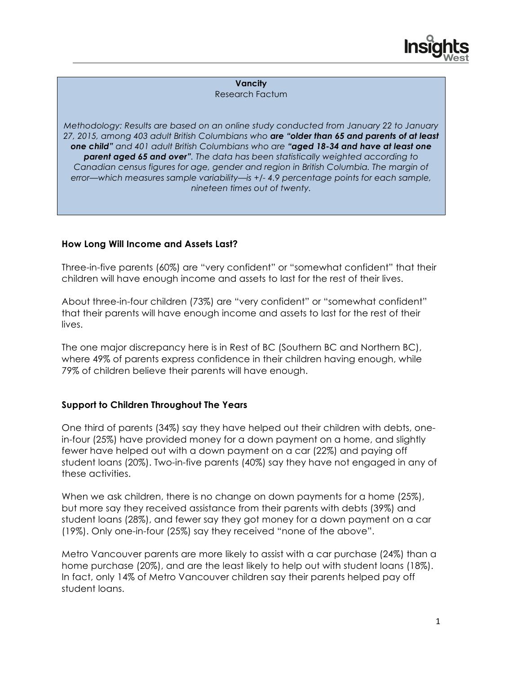

**Vancity** Research Factum

*Methodology: Results are based on an online study conducted from January 22 to January 27, 2015, among 403 adult British Columbians who are "older than 65 and parents of at least one child" and 401 adult British Columbians who are "aged 18-34 and have at least one parent aged 65 and over". The data has been statistically weighted according to Canadian census figures for age, gender and region in British Columbia. The margin of error—which measures sample variability—is +/- 4.9 percentage points for each sample, nineteen times out of twenty.* 

## **How Long Will Income and Assets Last?**

Three-in-five parents (60%) are "very confident" or "somewhat confident" that their children will have enough income and assets to last for the rest of their lives.

About three-in-four children (73%) are "very confident" or "somewhat confident" that their parents will have enough income and assets to last for the rest of their lives.

The one major discrepancy here is in Rest of BC (Southern BC and Northern BC), where 49% of parents express confidence in their children having enough, while 79% of children believe their parents will have enough.

## **Support to Children Throughout The Years**

One third of parents (34%) say they have helped out their children with debts, onein-four (25%) have provided money for a down payment on a home, and slightly fewer have helped out with a down payment on a car (22%) and paying off student loans (20%). Two-in-five parents (40%) say they have not engaged in any of these activities.

When we ask children, there is no change on down payments for a home (25%), but more say they received assistance from their parents with debts (39%) and student loans (28%), and fewer say they got money for a down payment on a car (19%). Only one-in-four (25%) say they received "none of the above".

Metro Vancouver parents are more likely to assist with a car purchase (24%) than a home purchase (20%), and are the least likely to help out with student loans (18%). In fact, only 14% of Metro Vancouver children say their parents helped pay off student loans.